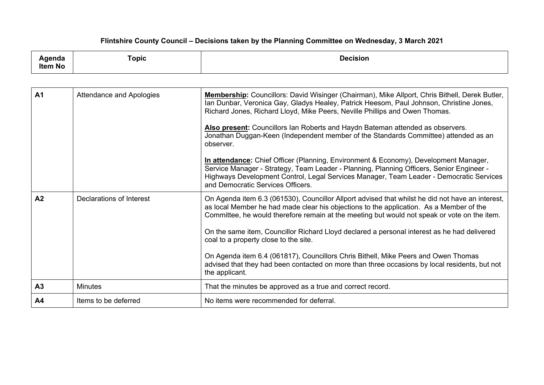## **Flintshire County Council – Decisions taken by the Planning Committee on Wednesday, 3 March 2021**

| ша<br>.             | $\overline{\phantom{0}}$<br>Topic | Decision |
|---------------------|-----------------------------------|----------|
| .<br><b>Item No</b> |                                   |          |

| A <sub>1</sub> | Attendance and Apologies | <b>Membership:</b> Councillors: David Wisinger (Chairman), Mike Allport, Chris Bithell, Derek Butler,<br>Ian Dunbar, Veronica Gay, Gladys Healey, Patrick Heesom, Paul Johnson, Christine Jones,<br>Richard Jones, Richard Lloyd, Mike Peers, Neville Phillips and Owen Thomas.<br>Also present: Councillors Ian Roberts and Haydn Bateman attended as observers.<br>Jonathan Duggan-Keen (Independent member of the Standards Committee) attended as an<br>observer.<br>In attendance: Chief Officer (Planning, Environment & Economy), Development Manager,<br>Service Manager - Strategy, Team Leader - Planning, Planning Officers, Senior Engineer -<br>Highways Development Control, Legal Services Manager, Team Leader - Democratic Services<br>and Democratic Services Officers. |
|----------------|--------------------------|-------------------------------------------------------------------------------------------------------------------------------------------------------------------------------------------------------------------------------------------------------------------------------------------------------------------------------------------------------------------------------------------------------------------------------------------------------------------------------------------------------------------------------------------------------------------------------------------------------------------------------------------------------------------------------------------------------------------------------------------------------------------------------------------|
| A <sub>2</sub> | Declarations of Interest | On Agenda item 6.3 (061530), Councillor Allport advised that whilst he did not have an interest,<br>as local Member he had made clear his objections to the application. As a Member of the<br>Committee, he would therefore remain at the meeting but would not speak or vote on the item.<br>On the same item, Councillor Richard Lloyd declared a personal interest as he had delivered<br>coal to a property close to the site.<br>On Agenda item 6.4 (061817), Councillors Chris Bithell, Mike Peers and Owen Thomas<br>advised that they had been contacted on more than three occasions by local residents, but not<br>the applicant.                                                                                                                                              |
| A <sub>3</sub> | <b>Minutes</b>           | That the minutes be approved as a true and correct record.                                                                                                                                                                                                                                                                                                                                                                                                                                                                                                                                                                                                                                                                                                                                |
| A4             | Items to be deferred     | No items were recommended for deferral.                                                                                                                                                                                                                                                                                                                                                                                                                                                                                                                                                                                                                                                                                                                                                   |